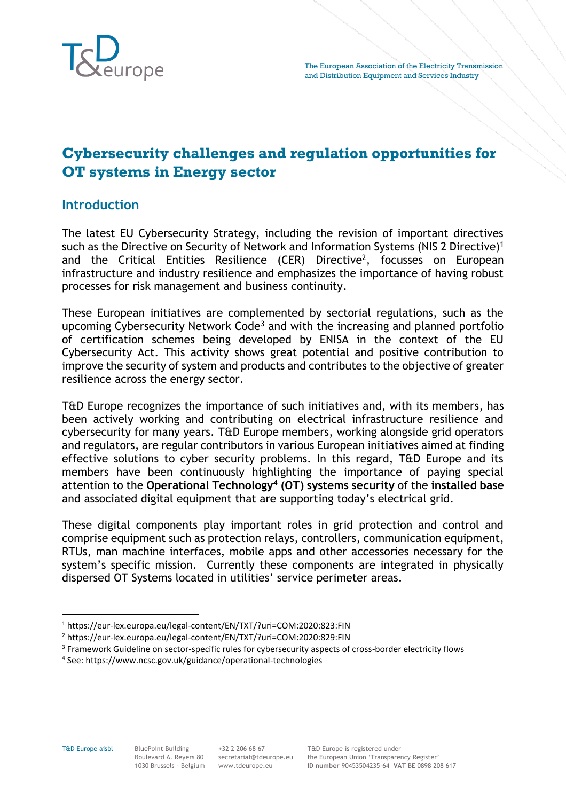

# **Cybersecurity challenges and regulation opportunities for OT systems in Energy sector**

### **Introduction**

The latest EU Cybersecurity Strategy, including the revision of important directives such as the Directive on Security of Network and Information Systems (NIS 2 Directive)<sup>1</sup> and the Critical Entities Resilience (CER) Directive<sup>2</sup>, focusses on European infrastructure and industry resilience and emphasizes the importance of having robust processes for risk management and business continuity.

These European initiatives are complemented by sectorial regulations, such as the upcoming Cybersecurity Network Code<sup>3</sup> and with the increasing and planned portfolio of certification schemes being developed by ENISA in the context of the EU Cybersecurity Act. This activity shows great potential and positive contribution to improve the security of system and products and contributes to the objective of greater resilience across the energy sector.

T&D Europe recognizes the importance of such initiatives and, with its members, has been actively working and contributing on electrical infrastructure resilience and cybersecurity for many years. T&D Europe members, working alongside grid operators and regulators, are regular contributors in various European initiatives aimed at finding effective solutions to cyber security problems. In this regard, T&D Europe and its members have been continuously highlighting the importance of paying special attention to the **Operational Technology<sup>4</sup> (OT) systems security** of the **installed base**  and associated digital equipment that are supporting today's electrical grid.

These digital components play important roles in grid protection and control and comprise equipment such as protection relays, controllers, communication equipment, RTUs, man machine interfaces, mobile apps and other accessories necessary for the system's specific mission. Currently these components are integrated in physically dispersed OT Systems located in utilities' service perimeter areas.

<sup>1</sup> https://eur-lex.europa.eu/legal-content/EN/TXT/?uri=COM:2020:823:FIN

<sup>2</sup> https://eur-lex.europa.eu/legal-content/EN/TXT/?uri=COM:2020:829:FIN

<sup>&</sup>lt;sup>3</sup> Framework Guideline on sector-specific rules for cybersecurity aspects of cross-border electricity flows

<sup>4</sup> See: https://www.ncsc.gov.uk/guidance/operational-technologies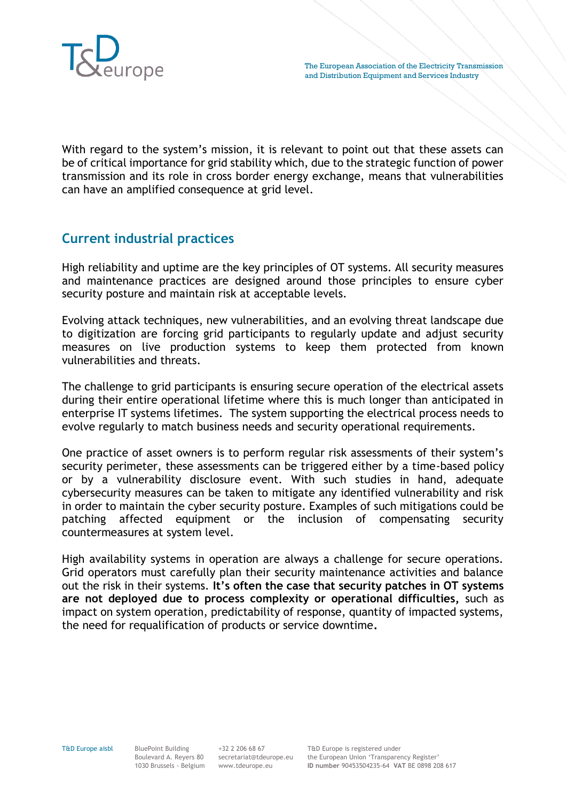

With regard to the system's mission, it is relevant to point out that these assets can be of critical importance for grid stability which, due to the strategic function of power transmission and its role in cross border energy exchange, means that vulnerabilities can have an amplified consequence at grid level.

## **Current industrial practices**

High reliability and uptime are the key principles of OT systems. All security measures and maintenance practices are designed around those principles to ensure cyber security posture and maintain risk at acceptable levels.

Evolving attack techniques, new vulnerabilities, and an evolving threat landscape due to digitization are forcing grid participants to regularly update and adjust security measures on live production systems to keep them protected from known vulnerabilities and threats.

The challenge to grid participants is ensuring secure operation of the electrical assets during their entire operational lifetime where this is much longer than anticipated in enterprise IT systems lifetimes. The system supporting the electrical process needs to evolve regularly to match business needs and security operational requirements.

One practice of asset owners is to perform regular risk assessments of their system's security perimeter, these assessments can be triggered either by a time-based policy or by a vulnerability disclosure event. With such studies in hand, adequate cybersecurity measures can be taken to mitigate any identified vulnerability and risk in order to maintain the cyber security posture. Examples of such mitigations could be patching affected equipment or the inclusion of compensating security countermeasures at system level.

High availability systems in operation are always a challenge for secure operations. Grid operators must carefully plan their security maintenance activities and balance out the risk in their systems. **It's often the case that security patches in OT systems are not deployed due to process complexity or operational difficulties,** such as impact on system operation, predictability of response, quantity of impacted systems, the need for requalification of products or service downtime**.**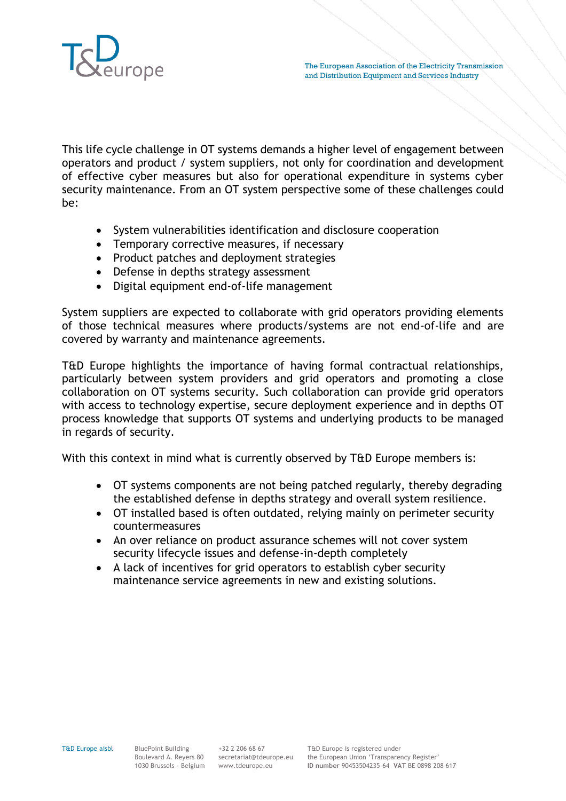

This life cycle challenge in OT systems demands a higher level of engagement between operators and product / system suppliers, not only for coordination and development of effective cyber measures but also for operational expenditure in systems cyber security maintenance. From an OT system perspective some of these challenges could be:

- System vulnerabilities identification and disclosure cooperation
- Temporary corrective measures, if necessary
- Product patches and deployment strategies
- Defense in depths strategy assessment
- Digital equipment end-of-life management

System suppliers are expected to collaborate with grid operators providing elements of those technical measures where products/systems are not end-of-life and are covered by warranty and maintenance agreements.

T&D Europe highlights the importance of having formal contractual relationships, particularly between system providers and grid operators and promoting a close collaboration on OT systems security. Such collaboration can provide grid operators with access to technology expertise, secure deployment experience and in depths OT process knowledge that supports OT systems and underlying products to be managed in regards of security.

With this context in mind what is currently observed by T&D Europe members is:

- OT systems components are not being patched regularly, thereby degrading the established defense in depths strategy and overall system resilience.
- OT installed based is often outdated, relying mainly on perimeter security countermeasures
- An over reliance on product assurance schemes will not cover system security lifecycle issues and defense-in-depth completely
- A lack of incentives for grid operators to establish cyber security maintenance service agreements in new and existing solutions.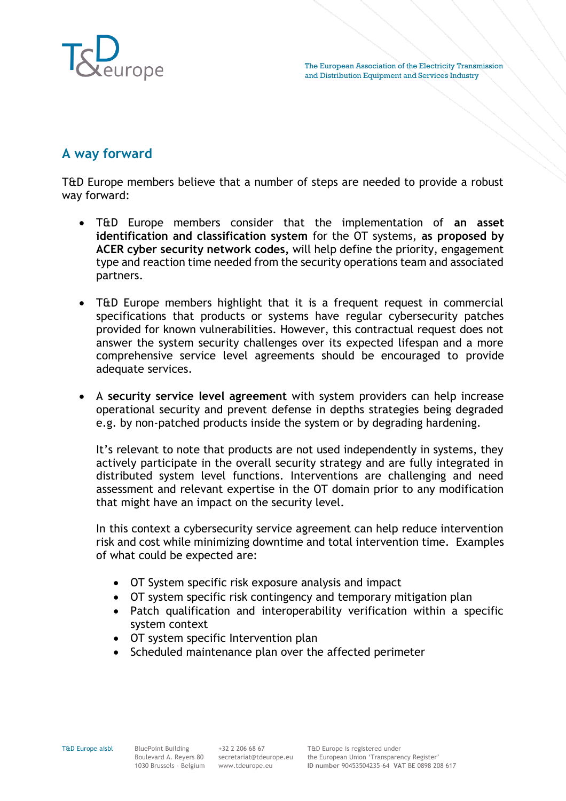

# **A way forward**

T&D Europe members believe that a number of steps are needed to provide a robust way forward:

- T&D Europe members consider that the implementation of **an asset identification and classification system** for the OT systems, **as proposed by ACER cyber security network codes,** will help define the priority, engagement type and reaction time needed from the security operations team and associated partners.
- T&D Europe members highlight that it is a frequent request in commercial specifications that products or systems have regular cybersecurity patches provided for known vulnerabilities. However, this contractual request does not answer the system security challenges over its expected lifespan and a more comprehensive service level agreements should be encouraged to provide adequate services.
- A **security service level agreement** with system providers can help increase operational security and prevent defense in depths strategies being degraded e.g. by non-patched products inside the system or by degrading hardening.

It's relevant to note that products are not used independently in systems, they actively participate in the overall security strategy and are fully integrated in distributed system level functions. Interventions are challenging and need assessment and relevant expertise in the OT domain prior to any modification that might have an impact on the security level.

In this context a cybersecurity service agreement can help reduce intervention risk and cost while minimizing downtime and total intervention time. Examples of what could be expected are:

- OT System specific risk exposure analysis and impact
- OT system specific risk contingency and temporary mitigation plan
- Patch qualification and interoperability verification within a specific system context
- OT system specific Intervention plan
- Scheduled maintenance plan over the affected perimeter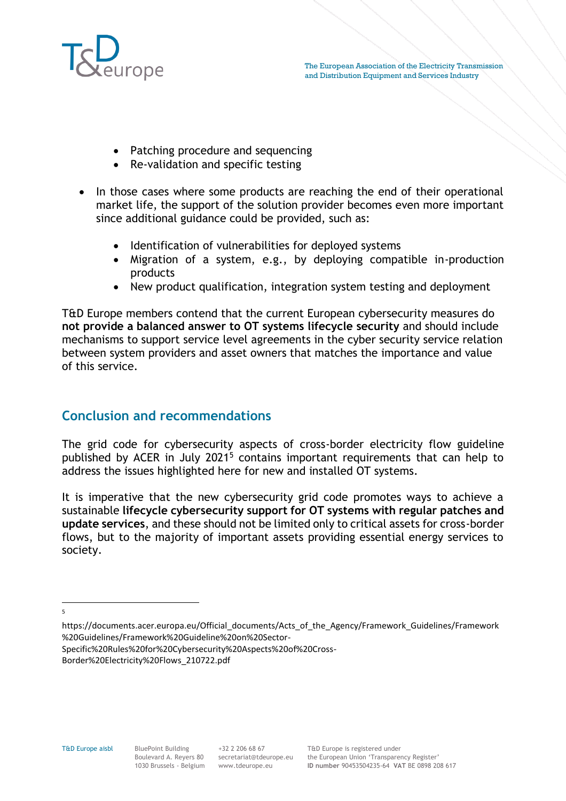

- Patching procedure and sequencing
- Re-validation and specific testing
- In those cases where some products are reaching the end of their operational market life, the support of the solution provider becomes even more important since additional guidance could be provided, such as:
	- Identification of vulnerabilities for deployed systems
	- Migration of a system, e.g., by deploying compatible in-production products
	- New product qualification, integration system testing and deployment

T&D Europe members contend that the current European cybersecurity measures do **not provide a balanced answer to OT systems lifecycle security** and should include mechanisms to support service level agreements in the cyber security service relation between system providers and asset owners that matches the importance and value of this service.

### **Conclusion and recommendations**

The grid code for cybersecurity aspects of cross-border electricity flow guideline published by ACER in July 2021<sup>5</sup> contains important requirements that can help to address the issues highlighted here for new and installed OT systems.

It is imperative that the new cybersecurity grid code promotes ways to achieve a sustainable **lifecycle cybersecurity support for OT systems with regular patches and update services**, and these should not be limited only to critical assets for cross-border flows, but to the majority of important assets providing essential energy services to society.

5

https://documents.acer.europa.eu/Official\_documents/Acts\_of\_the\_Agency/Framework\_Guidelines/Framework %20Guidelines/Framework%20Guideline%20on%20Sector-

Specific%20Rules%20for%20Cybersecurity%20Aspects%20of%20Cross-

Border%20Electricity%20Flows\_210722.pdf